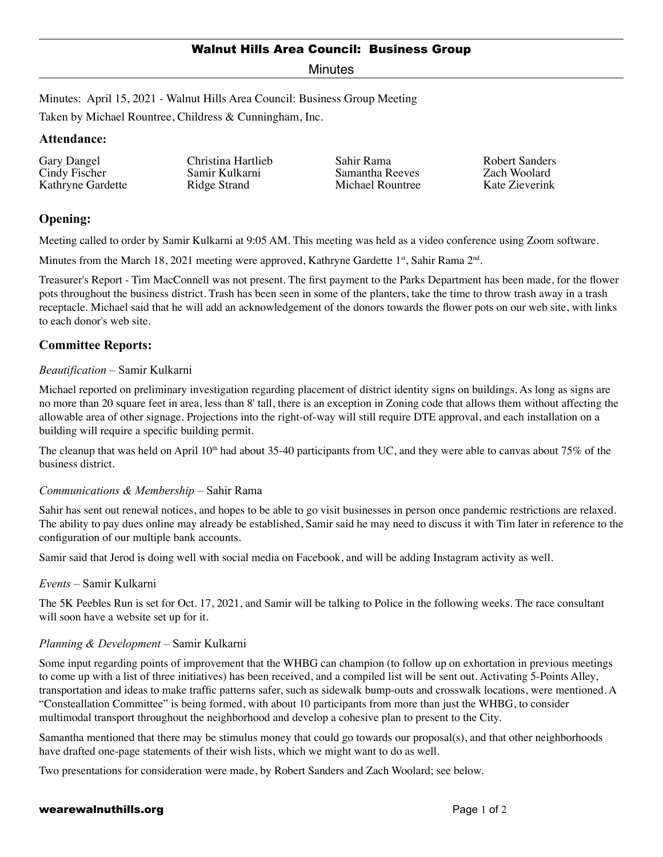## Walnut Hills Area Council: Business Group

Minutes

Minutes: April 15, 2021 - Walnut Hills Area Council: Business Group Meeting

Taken by Michael Rountree, Childress & Cunningham, Inc.

### **Attendance:**

| Gary Dangel<br>Christina Hartlieb<br>Cindy Fischer<br>Samir Kulkarni<br>Kathryne Gardette<br>Ridge Strand | Sahir Rama<br>Samantha Reeves<br>Michael Rountree | Robert Sanders<br>Zach Woolard<br>Kate Zieverink |
|-----------------------------------------------------------------------------------------------------------|---------------------------------------------------|--------------------------------------------------|
|-----------------------------------------------------------------------------------------------------------|---------------------------------------------------|--------------------------------------------------|

# **Opening:**

Meeting called to order by Samir Kulkarni at 9:05 AM. This meeting was held as a video conference using Zoom software.

Minutes from the March 18, 2021 meeting were approved, Kathryne Gardette 1<sup>st</sup>, Sahir Rama  $2<sup>nd</sup>$ .

Treasurer's Report - Tim MacConnell was not present. The first payment to the Parks Department has been made, for the flower pots throughout the business district. Trash has been seen in some of the planters, take the time to throw trash away in a trash receptacle. Michael said that he will add an acknowledgement of the donors towards the flower pots on our web site, with links to each donor's web site.

# **Committee Reports:**

### *Beautification* – Samir Kulkarni

Michael reported on preliminary investigation regarding placement of district identity signs on buildings. As long as signs are no more than 20 square feet in area, less than 8' tall, there is an exception in Zoning code that allows them without affecting the allowable area of other signage. Projections into the right-of-way will still require DTE approval, and each installation on a building will require a specific building permit.

The cleanup that was held on April 10<sup>th</sup> had about 35-40 participants from UC, and they were able to canvas about 75% of the business district.

#### *Communications & Membership* – Sahir Rama

Sahir has sent out renewal notices, and hopes to be able to go visit businesses in person once pandemic restrictions are relaxed. The ability to pay dues online may already be established, Samir said he may need to discuss it with Tim later in reference to the configuration of our multiple bank accounts.

Samir said that Jerod is doing well with social media on Facebook, and will be adding Instagram activity as well.

#### *Events* – Samir Kulkarni

The 5K Peebles Run is set for Oct. 17, 2021, and Samir will be talking to Police in the following weeks. The race consultant will soon have a website set up for it.

#### *Planning & Development* – Samir Kulkarni

Some input regarding points of improvement that the WHBG can champion (to follow up on exhortation in previous meetings to come up with a list of three initiatives) has been received, and a compiled list will be sent out. Activating 5-Points Alley, transportation and ideas to make traffic patterns safer, such as sidewalk bump-outs and crosswalk locations, were mentioned. A "Consteallation Committee" is being formed, with about 10 participants from more than just the WHBG, to consider multimodal transport throughout the neighborhood and develop a cohesive plan to present to the City.

Samantha mentioned that there may be stimulus money that could go towards our proposal(s), and that other neighborhoods have drafted one-page statements of their wish lists, which we might want to do as well.

Two presentations for consideration were made, by Robert Sanders and Zach Woolard; see below.

### wearewalnuthills.org example and the page 1 of 2